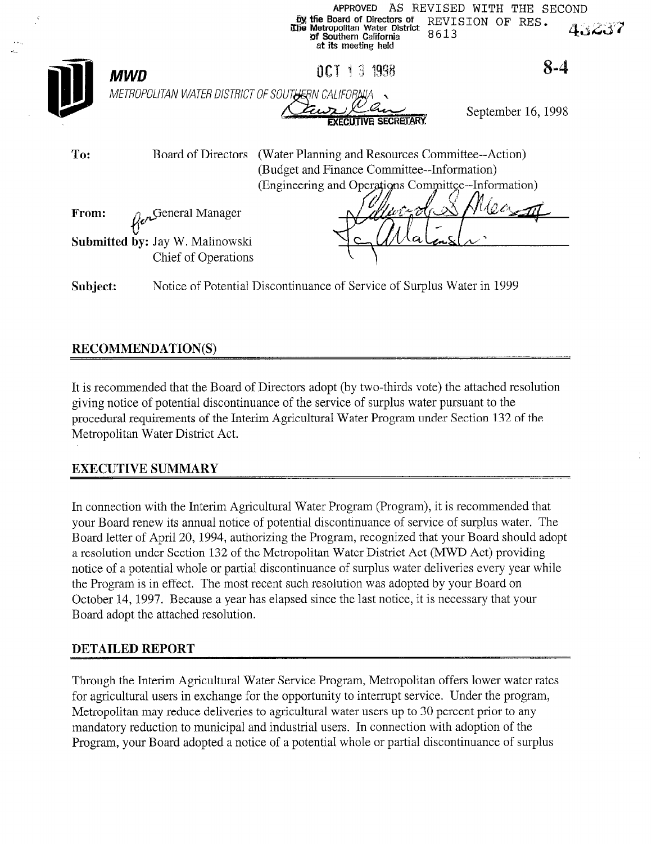|          |                                                                                                                                                                              | AS.<br><b>APPROVED</b><br>by the Board of Directors of<br>The Metropolitan Water District<br>8613<br>of Southern California<br>at its meeting held | REVISED WITH THE SECOND<br>REVISION OF<br>RES.<br>43237 |
|----------|------------------------------------------------------------------------------------------------------------------------------------------------------------------------------|----------------------------------------------------------------------------------------------------------------------------------------------------|---------------------------------------------------------|
|          | <b>MWD</b>                                                                                                                                                                   | OCT 13 1998                                                                                                                                        | $8 - 4$                                                 |
|          | METROPOLITAN WATER DISTRICT OF SOUTHERN CALIFORNIA                                                                                                                           |                                                                                                                                                    |                                                         |
|          |                                                                                                                                                                              | <b>EXECUTIVE SECRETARY</b>                                                                                                                         | September 16, 1998                                      |
| To:      | (Water Planning and Resources Committee--Action)<br>Board of Directors<br>(Budget and Finance Committee--Information)<br>(Engineering and Operations Committee--Information) |                                                                                                                                                    |                                                         |
|          |                                                                                                                                                                              |                                                                                                                                                    |                                                         |
| From:    | General Manager                                                                                                                                                              | lv747                                                                                                                                              |                                                         |
|          | Submitted by: Jay W. Malinowski<br>Chief of Operations                                                                                                                       |                                                                                                                                                    |                                                         |
| Subject: | Notice of Potential Discontinuance of Service of Surplus Water in 1999                                                                                                       |                                                                                                                                                    |                                                         |

# **RECOMMENDATION(S)**

It is recommended that the Board of Directors adopt (by two-thirds vote) the attached resolution giving notice of potential discontinuance of the service of surplus water pursuant to the procedural requirements of the Interim Agricultural Water Program under Section 132 of the Metropolitan Water District Act.

## EXECUTIVE SUMMARY

In connection with the Interim Agricultural Water Program (Program), it is recommended that your Board renew its annual notice of potential discontinuance of service of surplus water. The Board letter of April 20, 1994, authorizing the Program, recognized that your Board should adopt a resolution under Section 132 of the Metropolitan Water District Act (MWD Act) providing notice of a potential whole or partial discontinuance of surplus water deliveries every year while the Program is in effect. The most recent such resolution was adopted by your Board on October 14, 1997. Because a year has elapsed since the last notice, it is necessary that your Board adopt the attached resolution.

### DETAILED REPORT

Through the Interim Agricultural Water Service Program, Metropolitan offers lower water rates for agricultural users in exchange for the opportunity to interrupt service. Under the program, Metropolitan may reduce deliveries to agricultural water users up to 30 percent prior to any mandatory reduction to municipal and industrial users. In connection with adoption of the Program, your Board adopted a notice of a potential whole or partial discontinuance of surplus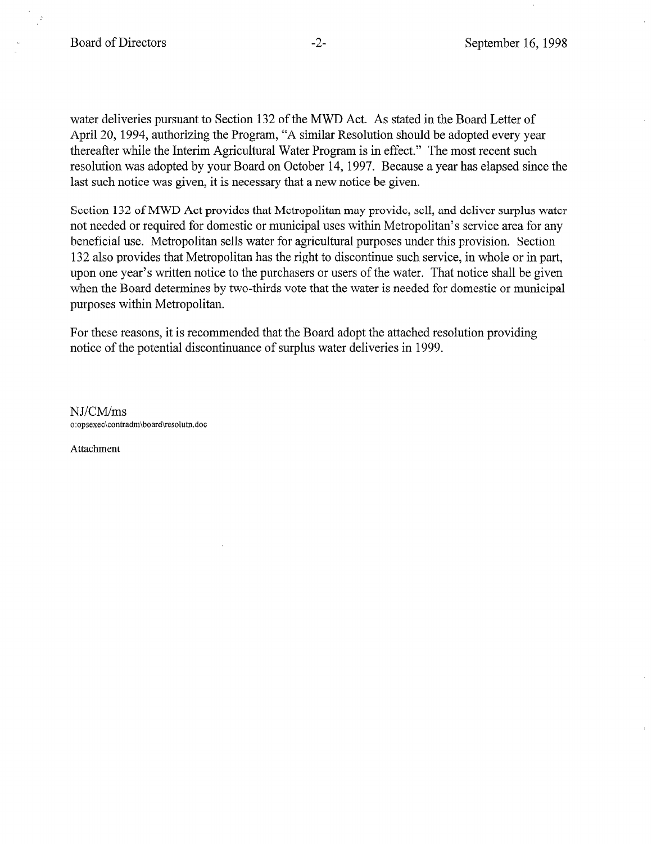water deliveries pursuant to Section 132 of the MWD Act. As stated in the Board Letter of April 20, 1994, authorizing the Program, "A similar Resolution should be adopted every year thereafter while the Interim Agricultural Water Program is in effect." The most recent such resolution was adopted by your Board on October 14, 1997. Because a year has elapsed since the last such notice was given, it is necessary that a new notice be given.

Section 132 of MWD Act provides that Metropolitan may provide, sell, and deliver surplus water not needed or required for domestic or municipal uses within Metropolitan's service area for any beneficial use. Metropolitan sells water for agricultural purposes under this provision. Section 132 also provides that Metropolitan has the right to discontinue such service, in whole or in part, upon one year's written notice to the purchasers or users of the water. That notice shall be given when the Board determines by two-thirds vote that the water is needed for domestic or municipal purposes within Metropolitan.

For these reasons, it is recommended that the Board adopt the attached resolution providing notice of the potential discontinuance of surplus water deliveries in 1999.

NJ/CM/ms o:opsexec\contradm\boad\resolutn.doc

Attachment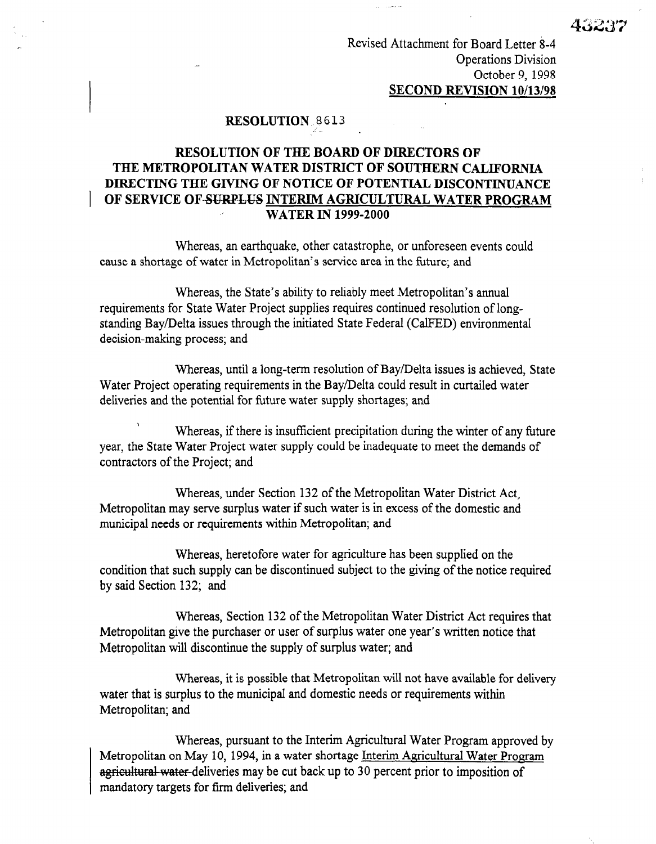Revised Attachment for Board Letter 8-4 Operations Division October 9, 1998 SECOND REVISION 10/13/98

#### RESOLUTION<sub>8613</sub>

## RESOLUTION OF THE BOARD OF DIRECTORS OF THE METROPOLITAN WATER DISTRICT OF SOUTHERN CALIFORNIA DIRECTING THE GIVING OF NOTICE OF POTENTIAL DISCONTINUANCE OF SERVICE OF-SURPLUS INTERIM AGRICULTURAL WATER PROGRAM . WATER IN 1999-2000

Whereas, an earthquake, other catastrophe, or unforeseen events could cause a shortage of water in Metropolitan's service area in the future; and

Whereas, the State's ability to reliably meet Metropolitan's annual requirements for State Water Project supplies requires continued resolution of longstanding Bay/Delta issues through the initiated State Federal (CalFED) environmental decision-making process; and

Whereas, until a long-term resolution of Bay/Delta issues is achieved, State Water Project operating requirements in the Bay/Delta could result in curtailed water deliveries and the potential for future water supply shortages; and

Whereas, if there is insufficient precipitation during the winter of any future  $\frac{1}{2}$  year, the State Water State Water State water supply considered be inadequated by  $\frac{1}{2}$  of  $\frac{1}{2}$  of  $\frac{1}{2}$  of  $\frac{1}{2}$  of  $\frac{1}{2}$  of  $\frac{1}{2}$  of  $\frac{1}{2}$  of  $\frac{1}{2}$  of  $\frac{1}{2}$  of  $\frac{1}{2}$  of year, the state water I follow

Whereas, under Section 132 of the Metropolitan Water District Act, whereas, under section 132 of the interropolitan water District Act, Metropolitan may serve surplus water if such water is in excess of the domestic and municipal needs or requirements within Metropolitan; and

Whereas, heretofore water for agriculture has been supplied on the whereas, hereforce water for agriculture has been supplied on the notice required subject to the north of the no condition that such supply can be discontinued subject to the giving of the notice required<br>by said Section 132; and

Whereas, Section 132 of the Metropolitan Water District Act requires that Metropolitan give the purchaser or user of surplus water one year's written notice that<br>Metropolitan will discontinue the supply of surplus water; and

Whereas, it is possible that Metropolitan will not have available for delivery water that is surplus to the municipal and domestic needs or requirements within Metropolitan; and

Whereas, pursuant to the Interim Agricultural Water Program approved by Metropolitan on May 10, 1994, in a water shortage Interim Agricultural Water Program agricultural water-deliveries may be cut back up to 30 percent prior to imposition of mandatory targets for firm deliveries; and